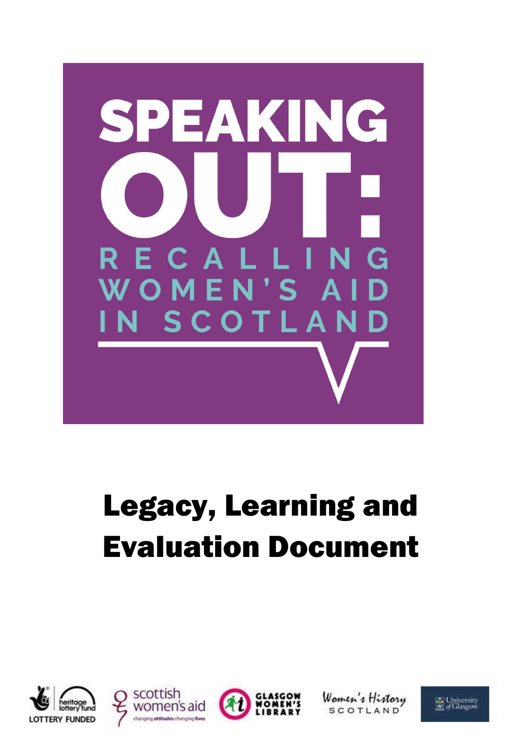

# Legacy, Learning and Evaluation Document









Women's History **SCOTLAND** 

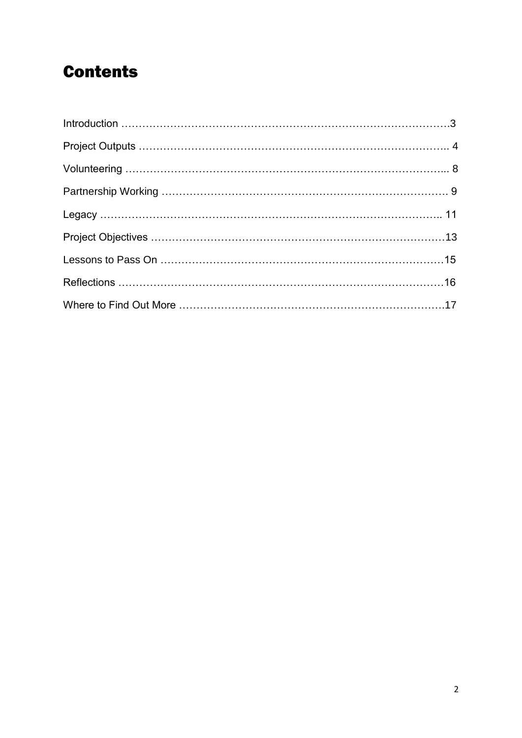# **Contents**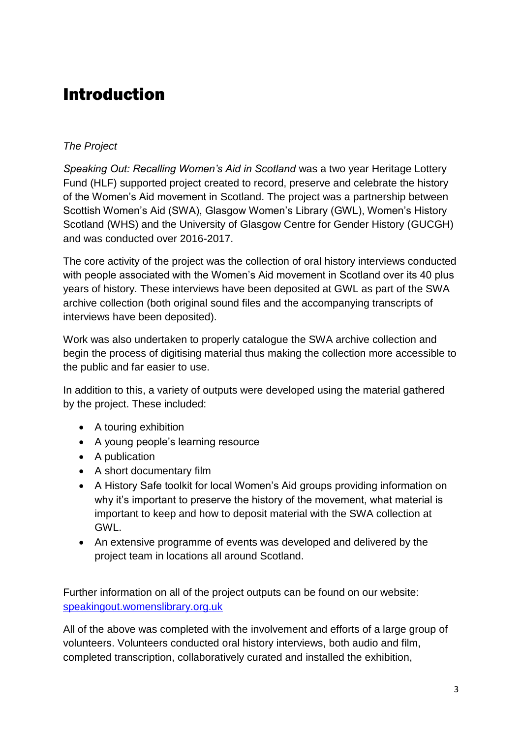# Introduction

#### *The Project*

*Speaking Out: Recalling Women's Aid in Scotland* was a two year Heritage Lottery Fund (HLF) supported project created to record, preserve and celebrate the history of the Women's Aid movement in Scotland. The project was a partnership between Scottish Women's Aid (SWA), Glasgow Women's Library (GWL), Women's History Scotland (WHS) and the University of Glasgow Centre for Gender History (GUCGH) and was conducted over 2016-2017.

The core activity of the project was the collection of oral history interviews conducted with people associated with the Women's Aid movement in Scotland over its 40 plus years of history. These interviews have been deposited at GWL as part of the SWA archive collection (both original sound files and the accompanying transcripts of interviews have been deposited).

Work was also undertaken to properly catalogue the SWA archive collection and begin the process of digitising material thus making the collection more accessible to the public and far easier to use.

In addition to this, a variety of outputs were developed using the material gathered by the project. These included:

- A touring exhibition
- A young people's learning resource
- A publication
- A short documentary film
- A History Safe toolkit for local Women's Aid groups providing information on why it's important to preserve the history of the movement, what material is important to keep and how to deposit material with the SWA collection at GWL.
- An extensive programme of events was developed and delivered by the project team in locations all around Scotland.

Further information on all of the project outputs can be found on our website: [speakingout.womenslibrary.org.uk](https://womenslibrary.org.uk/discover-our-projects/speaking-out/)

All of the above was completed with the involvement and efforts of a large group of volunteers. Volunteers conducted oral history interviews, both audio and film, completed transcription, collaboratively curated and installed the exhibition,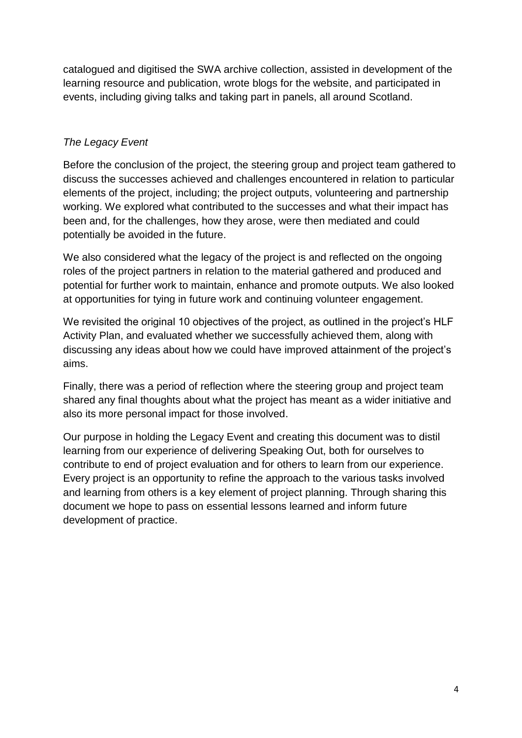catalogued and digitised the SWA archive collection, assisted in development of the learning resource and publication, wrote blogs for the website, and participated in events, including giving talks and taking part in panels, all around Scotland.

#### *The Legacy Event*

Before the conclusion of the project, the steering group and project team gathered to discuss the successes achieved and challenges encountered in relation to particular elements of the project, including; the project outputs, volunteering and partnership working. We explored what contributed to the successes and what their impact has been and, for the challenges, how they arose, were then mediated and could potentially be avoided in the future.

We also considered what the legacy of the project is and reflected on the ongoing roles of the project partners in relation to the material gathered and produced and potential for further work to maintain, enhance and promote outputs. We also looked at opportunities for tying in future work and continuing volunteer engagement.

We revisited the original 10 objectives of the project, as outlined in the project's HLF Activity Plan, and evaluated whether we successfully achieved them, along with discussing any ideas about how we could have improved attainment of the project's aims.

Finally, there was a period of reflection where the steering group and project team shared any final thoughts about what the project has meant as a wider initiative and also its more personal impact for those involved.

Our purpose in holding the Legacy Event and creating this document was to distil learning from our experience of delivering Speaking Out, both for ourselves to contribute to end of project evaluation and for others to learn from our experience. Every project is an opportunity to refine the approach to the various tasks involved and learning from others is a key element of project planning. Through sharing this document we hope to pass on essential lessons learned and inform future development of practice.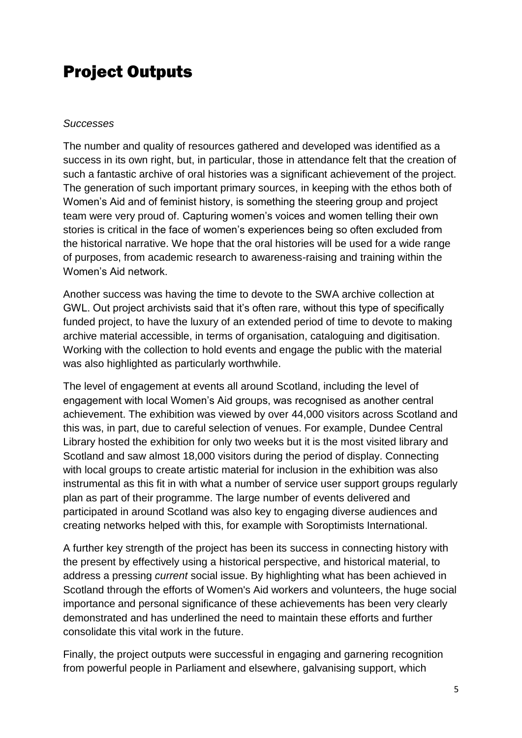# Project Outputs

#### *Successes*

The number and quality of resources gathered and developed was identified as a success in its own right, but, in particular, those in attendance felt that the creation of such a fantastic archive of oral histories was a significant achievement of the project. The generation of such important primary sources, in keeping with the ethos both of Women's Aid and of feminist history, is something the steering group and project team were very proud of. Capturing women's voices and women telling their own stories is critical in the face of women's experiences being so often excluded from the historical narrative. We hope that the oral histories will be used for a wide range of purposes, from academic research to awareness-raising and training within the Women's Aid network.

Another success was having the time to devote to the SWA archive collection at GWL. Out project archivists said that it's often rare, without this type of specifically funded project, to have the luxury of an extended period of time to devote to making archive material accessible, in terms of organisation, cataloguing and digitisation. Working with the collection to hold events and engage the public with the material was also highlighted as particularly worthwhile.

The level of engagement at events all around Scotland, including the level of engagement with local Women's Aid groups, was recognised as another central achievement. The exhibition was viewed by over 44,000 visitors across Scotland and this was, in part, due to careful selection of venues. For example, Dundee Central Library hosted the exhibition for only two weeks but it is the most visited library and Scotland and saw almost 18,000 visitors during the period of display. Connecting with local groups to create artistic material for inclusion in the exhibition was also instrumental as this fit in with what a number of service user support groups regularly plan as part of their programme. The large number of events delivered and participated in around Scotland was also key to engaging diverse audiences and creating networks helped with this, for example with Soroptimists International.

A further key strength of the project has been its success in connecting history with the present by effectively using a historical perspective, and historical material, to address a pressing *current* social issue. By highlighting what has been achieved in Scotland through the efforts of Women's Aid workers and volunteers, the huge social importance and personal significance of these achievements has been very clearly demonstrated and has underlined the need to maintain these efforts and further consolidate this vital work in the future.

Finally, the project outputs were successful in engaging and garnering recognition from powerful people in Parliament and elsewhere, galvanising support, which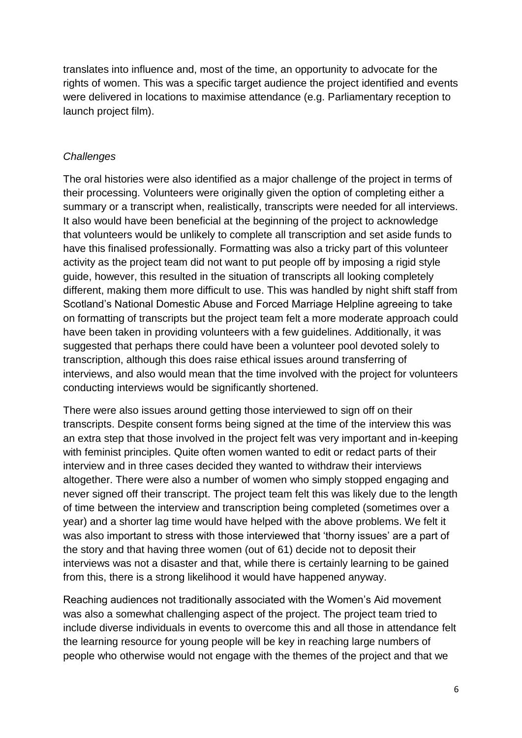translates into influence and, most of the time, an opportunity to advocate for the rights of women. This was a specific target audience the project identified and events were delivered in locations to maximise attendance (e.g. Parliamentary reception to launch project film).

#### *Challenges*

The oral histories were also identified as a major challenge of the project in terms of their processing. Volunteers were originally given the option of completing either a summary or a transcript when, realistically, transcripts were needed for all interviews. It also would have been beneficial at the beginning of the project to acknowledge that volunteers would be unlikely to complete all transcription and set aside funds to have this finalised professionally. Formatting was also a tricky part of this volunteer activity as the project team did not want to put people off by imposing a rigid style guide, however, this resulted in the situation of transcripts all looking completely different, making them more difficult to use. This was handled by night shift staff from Scotland's National Domestic Abuse and Forced Marriage Helpline agreeing to take on formatting of transcripts but the project team felt a more moderate approach could have been taken in providing volunteers with a few guidelines. Additionally, it was suggested that perhaps there could have been a volunteer pool devoted solely to transcription, although this does raise ethical issues around transferring of interviews, and also would mean that the time involved with the project for volunteers conducting interviews would be significantly shortened.

There were also issues around getting those interviewed to sign off on their transcripts. Despite consent forms being signed at the time of the interview this was an extra step that those involved in the project felt was very important and in-keeping with feminist principles. Quite often women wanted to edit or redact parts of their interview and in three cases decided they wanted to withdraw their interviews altogether. There were also a number of women who simply stopped engaging and never signed off their transcript. The project team felt this was likely due to the length of time between the interview and transcription being completed (sometimes over a year) and a shorter lag time would have helped with the above problems. We felt it was also important to stress with those interviewed that 'thorny issues' are a part of the story and that having three women (out of 61) decide not to deposit their interviews was not a disaster and that, while there is certainly learning to be gained from this, there is a strong likelihood it would have happened anyway.

Reaching audiences not traditionally associated with the Women's Aid movement was also a somewhat challenging aspect of the project. The project team tried to include diverse individuals in events to overcome this and all those in attendance felt the learning resource for young people will be key in reaching large numbers of people who otherwise would not engage with the themes of the project and that we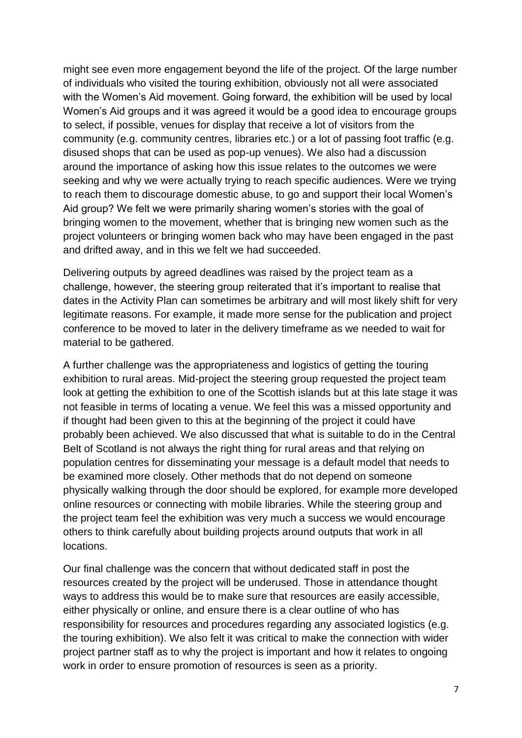might see even more engagement beyond the life of the project. Of the large number of individuals who visited the touring exhibition, obviously not all were associated with the Women's Aid movement. Going forward, the exhibition will be used by local Women's Aid groups and it was agreed it would be a good idea to encourage groups to select, if possible, venues for display that receive a lot of visitors from the community (e.g. community centres, libraries etc.) or a lot of passing foot traffic (e.g. disused shops that can be used as pop-up venues). We also had a discussion around the importance of asking how this issue relates to the outcomes we were seeking and why we were actually trying to reach specific audiences. Were we trying to reach them to discourage domestic abuse, to go and support their local Women's Aid group? We felt we were primarily sharing women's stories with the goal of bringing women to the movement, whether that is bringing new women such as the project volunteers or bringing women back who may have been engaged in the past and drifted away, and in this we felt we had succeeded.

Delivering outputs by agreed deadlines was raised by the project team as a challenge, however, the steering group reiterated that it's important to realise that dates in the Activity Plan can sometimes be arbitrary and will most likely shift for very legitimate reasons. For example, it made more sense for the publication and project conference to be moved to later in the delivery timeframe as we needed to wait for material to be gathered.

A further challenge was the appropriateness and logistics of getting the touring exhibition to rural areas. Mid-project the steering group requested the project team look at getting the exhibition to one of the Scottish islands but at this late stage it was not feasible in terms of locating a venue. We feel this was a missed opportunity and if thought had been given to this at the beginning of the project it could have probably been achieved. We also discussed that what is suitable to do in the Central Belt of Scotland is not always the right thing for rural areas and that relying on population centres for disseminating your message is a default model that needs to be examined more closely. Other methods that do not depend on someone physically walking through the door should be explored, for example more developed online resources or connecting with mobile libraries. While the steering group and the project team feel the exhibition was very much a success we would encourage others to think carefully about building projects around outputs that work in all locations.

Our final challenge was the concern that without dedicated staff in post the resources created by the project will be underused. Those in attendance thought ways to address this would be to make sure that resources are easily accessible, either physically or online, and ensure there is a clear outline of who has responsibility for resources and procedures regarding any associated logistics (e.g. the touring exhibition). We also felt it was critical to make the connection with wider project partner staff as to why the project is important and how it relates to ongoing work in order to ensure promotion of resources is seen as a priority.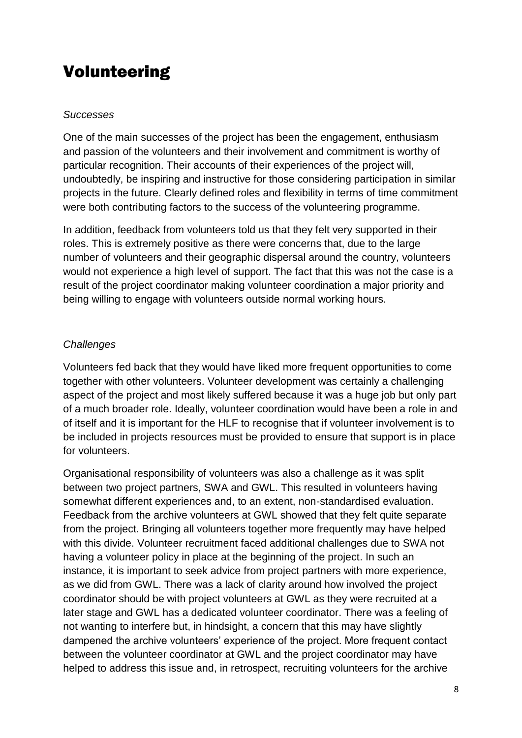# Volunteering

#### *Successes*

One of the main successes of the project has been the engagement, enthusiasm and passion of the volunteers and their involvement and commitment is worthy of particular recognition. Their accounts of their experiences of the project will, undoubtedly, be inspiring and instructive for those considering participation in similar projects in the future. Clearly defined roles and flexibility in terms of time commitment were both contributing factors to the success of the volunteering programme.

In addition, feedback from volunteers told us that they felt very supported in their roles. This is extremely positive as there were concerns that, due to the large number of volunteers and their geographic dispersal around the country, volunteers would not experience a high level of support. The fact that this was not the case is a result of the project coordinator making volunteer coordination a major priority and being willing to engage with volunteers outside normal working hours.

#### *Challenges*

Volunteers fed back that they would have liked more frequent opportunities to come together with other volunteers. Volunteer development was certainly a challenging aspect of the project and most likely suffered because it was a huge job but only part of a much broader role. Ideally, volunteer coordination would have been a role in and of itself and it is important for the HLF to recognise that if volunteer involvement is to be included in projects resources must be provided to ensure that support is in place for volunteers.

Organisational responsibility of volunteers was also a challenge as it was split between two project partners, SWA and GWL. This resulted in volunteers having somewhat different experiences and, to an extent, non-standardised evaluation. Feedback from the archive volunteers at GWL showed that they felt quite separate from the project. Bringing all volunteers together more frequently may have helped with this divide. Volunteer recruitment faced additional challenges due to SWA not having a volunteer policy in place at the beginning of the project. In such an instance, it is important to seek advice from project partners with more experience, as we did from GWL. There was a lack of clarity around how involved the project coordinator should be with project volunteers at GWL as they were recruited at a later stage and GWL has a dedicated volunteer coordinator. There was a feeling of not wanting to interfere but, in hindsight, a concern that this may have slightly dampened the archive volunteers' experience of the project. More frequent contact between the volunteer coordinator at GWL and the project coordinator may have helped to address this issue and, in retrospect, recruiting volunteers for the archive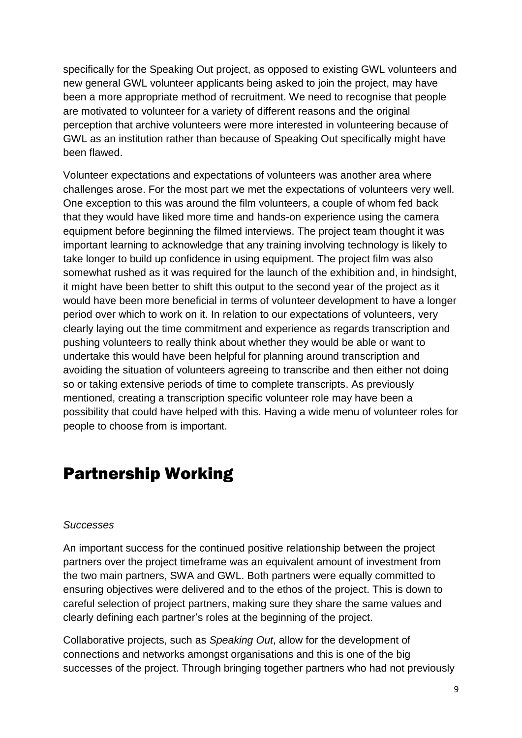specifically for the Speaking Out project, as opposed to existing GWL volunteers and new general GWL volunteer applicants being asked to join the project, may have been a more appropriate method of recruitment. We need to recognise that people are motivated to volunteer for a variety of different reasons and the original perception that archive volunteers were more interested in volunteering because of GWL as an institution rather than because of Speaking Out specifically might have been flawed.

Volunteer expectations and expectations of volunteers was another area where challenges arose. For the most part we met the expectations of volunteers very well. One exception to this was around the film volunteers, a couple of whom fed back that they would have liked more time and hands-on experience using the camera equipment before beginning the filmed interviews. The project team thought it was important learning to acknowledge that any training involving technology is likely to take longer to build up confidence in using equipment. The project film was also somewhat rushed as it was required for the launch of the exhibition and, in hindsight, it might have been better to shift this output to the second year of the project as it would have been more beneficial in terms of volunteer development to have a longer period over which to work on it. In relation to our expectations of volunteers, very clearly laying out the time commitment and experience as regards transcription and pushing volunteers to really think about whether they would be able or want to undertake this would have been helpful for planning around transcription and avoiding the situation of volunteers agreeing to transcribe and then either not doing so or taking extensive periods of time to complete transcripts. As previously mentioned, creating a transcription specific volunteer role may have been a possibility that could have helped with this. Having a wide menu of volunteer roles for people to choose from is important.

# Partnership Working

#### *Successes*

An important success for the continued positive relationship between the project partners over the project timeframe was an equivalent amount of investment from the two main partners, SWA and GWL. Both partners were equally committed to ensuring objectives were delivered and to the ethos of the project. This is down to careful selection of project partners, making sure they share the same values and clearly defining each partner's roles at the beginning of the project.

Collaborative projects, such as *Speaking Out*, allow for the development of connections and networks amongst organisations and this is one of the big successes of the project. Through bringing together partners who had not previously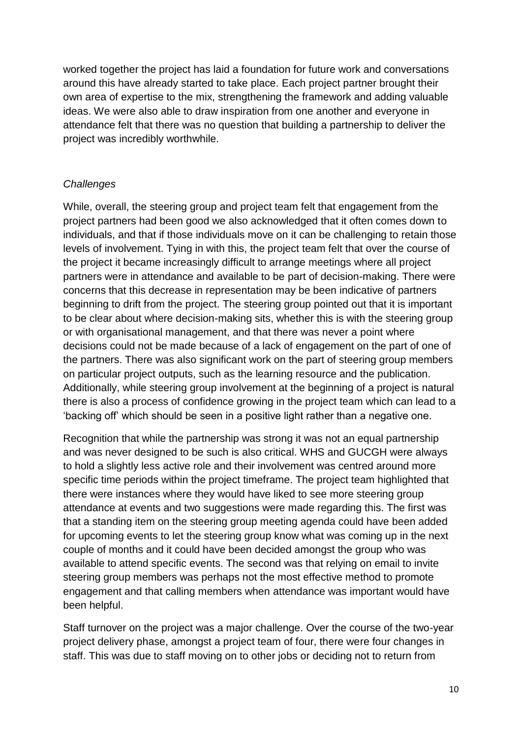worked together the project has laid a foundation for future work and conversations around this have already started to take place. Each project partner brought their own area of expertise to the mix, strengthening the framework and adding valuable ideas. We were also able to draw inspiration from one another and everyone in attendance felt that there was no question that building a partnership to deliver the project was incredibly worthwhile.

#### *Challenges*

While, overall, the steering group and project team felt that engagement from the project partners had been good we also acknowledged that it often comes down to individuals, and that if those individuals move on it can be challenging to retain those levels of involvement. Tying in with this, the project team felt that over the course of the project it became increasingly difficult to arrange meetings where all project partners were in attendance and available to be part of decision-making. There were concerns that this decrease in representation may be been indicative of partners beginning to drift from the project. The steering group pointed out that it is important to be clear about where decision-making sits, whether this is with the steering group or with organisational management, and that there was never a point where decisions could not be made because of a lack of engagement on the part of one of the partners. There was also significant work on the part of steering group members on particular project outputs, such as the learning resource and the publication. Additionally, while steering group involvement at the beginning of a project is natural there is also a process of confidence growing in the project team which can lead to a 'backing off' which should be seen in a positive light rather than a negative one.

Recognition that while the partnership was strong it was not an equal partnership and was never designed to be such is also critical. WHS and GUCGH were always to hold a slightly less active role and their involvement was centred around more specific time periods within the project timeframe. The project team highlighted that there were instances where they would have liked to see more steering group attendance at events and two suggestions were made regarding this. The first was that a standing item on the steering group meeting agenda could have been added for upcoming events to let the steering group know what was coming up in the next couple of months and it could have been decided amongst the group who was available to attend specific events. The second was that relying on email to invite steering group members was perhaps not the most effective method to promote engagement and that calling members when attendance was important would have been helpful.

Staff turnover on the project was a major challenge. Over the course of the two-year project delivery phase, amongst a project team of four, there were four changes in staff. This was due to staff moving on to other jobs or deciding not to return from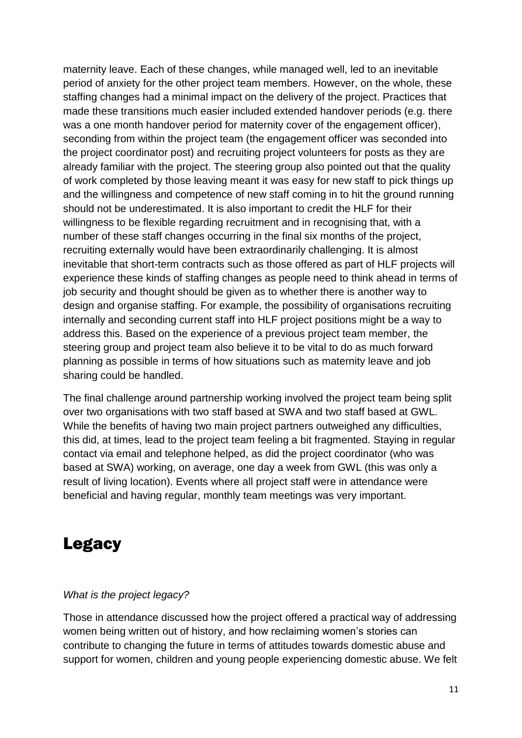maternity leave. Each of these changes, while managed well, led to an inevitable period of anxiety for the other project team members. However, on the whole, these staffing changes had a minimal impact on the delivery of the project. Practices that made these transitions much easier included extended handover periods (e.g. there was a one month handover period for maternity cover of the engagement officer), seconding from within the project team (the engagement officer was seconded into the project coordinator post) and recruiting project volunteers for posts as they are already familiar with the project. The steering group also pointed out that the quality of work completed by those leaving meant it was easy for new staff to pick things up and the willingness and competence of new staff coming in to hit the ground running should not be underestimated. It is also important to credit the HLF for their willingness to be flexible regarding recruitment and in recognising that, with a number of these staff changes occurring in the final six months of the project, recruiting externally would have been extraordinarily challenging. It is almost inevitable that short-term contracts such as those offered as part of HLF projects will experience these kinds of staffing changes as people need to think ahead in terms of job security and thought should be given as to whether there is another way to design and organise staffing. For example, the possibility of organisations recruiting internally and seconding current staff into HLF project positions might be a way to address this. Based on the experience of a previous project team member, the steering group and project team also believe it to be vital to do as much forward planning as possible in terms of how situations such as maternity leave and job sharing could be handled.

The final challenge around partnership working involved the project team being split over two organisations with two staff based at SWA and two staff based at GWL. While the benefits of having two main project partners outweighed any difficulties, this did, at times, lead to the project team feeling a bit fragmented. Staying in regular contact via email and telephone helped, as did the project coordinator (who was based at SWA) working, on average, one day a week from GWL (this was only a result of living location). Events where all project staff were in attendance were beneficial and having regular, monthly team meetings was very important.

# Legacy

#### *What is the project legacy?*

Those in attendance discussed how the project offered a practical way of addressing women being written out of history, and how reclaiming women's stories can contribute to changing the future in terms of attitudes towards domestic abuse and support for women, children and young people experiencing domestic abuse. We felt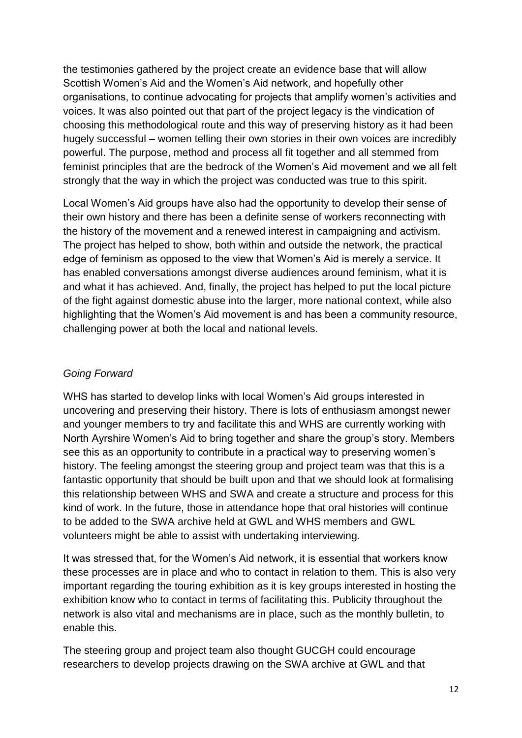the testimonies gathered by the project create an evidence base that will allow Scottish Women's Aid and the Women's Aid network, and hopefully other organisations, to continue advocating for projects that amplify women's activities and voices. It was also pointed out that part of the project legacy is the vindication of choosing this methodological route and this way of preserving history as it had been hugely successful – women telling their own stories in their own voices are incredibly powerful. The purpose, method and process all fit together and all stemmed from feminist principles that are the bedrock of the Women's Aid movement and we all felt strongly that the way in which the project was conducted was true to this spirit.

Local Women's Aid groups have also had the opportunity to develop their sense of their own history and there has been a definite sense of workers reconnecting with the history of the movement and a renewed interest in campaigning and activism. The project has helped to show, both within and outside the network, the practical edge of feminism as opposed to the view that Women's Aid is merely a service. It has enabled conversations amongst diverse audiences around feminism, what it is and what it has achieved. And, finally, the project has helped to put the local picture of the fight against domestic abuse into the larger, more national context, while also highlighting that the Women's Aid movement is and has been a community resource, challenging power at both the local and national levels.

#### *Going Forward*

WHS has started to develop links with local Women's Aid groups interested in uncovering and preserving their history. There is lots of enthusiasm amongst newer and younger members to try and facilitate this and WHS are currently working with North Ayrshire Women's Aid to bring together and share the group's story. Members see this as an opportunity to contribute in a practical way to preserving women's history. The feeling amongst the steering group and project team was that this is a fantastic opportunity that should be built upon and that we should look at formalising this relationship between WHS and SWA and create a structure and process for this kind of work. In the future, those in attendance hope that oral histories will continue to be added to the SWA archive held at GWL and WHS members and GWL volunteers might be able to assist with undertaking interviewing.

It was stressed that, for the Women's Aid network, it is essential that workers know these processes are in place and who to contact in relation to them. This is also very important regarding the touring exhibition as it is key groups interested in hosting the exhibition know who to contact in terms of facilitating this. Publicity throughout the network is also vital and mechanisms are in place, such as the monthly bulletin, to enable this.

The steering group and project team also thought GUCGH could encourage researchers to develop projects drawing on the SWA archive at GWL and that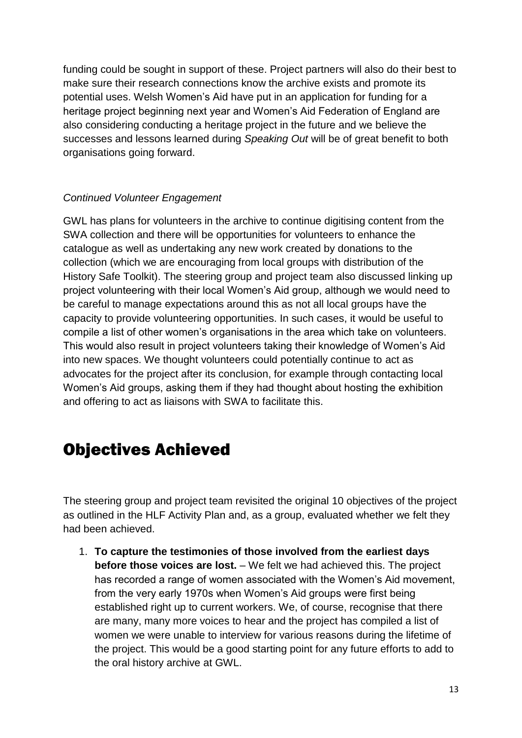funding could be sought in support of these. Project partners will also do their best to make sure their research connections know the archive exists and promote its potential uses. Welsh Women's Aid have put in an application for funding for a heritage project beginning next year and Women's Aid Federation of England are also considering conducting a heritage project in the future and we believe the successes and lessons learned during *Speaking Out* will be of great benefit to both organisations going forward.

#### *Continued Volunteer Engagement*

GWL has plans for volunteers in the archive to continue digitising content from the SWA collection and there will be opportunities for volunteers to enhance the catalogue as well as undertaking any new work created by donations to the collection (which we are encouraging from local groups with distribution of the History Safe Toolkit). The steering group and project team also discussed linking up project volunteering with their local Women's Aid group, although we would need to be careful to manage expectations around this as not all local groups have the capacity to provide volunteering opportunities. In such cases, it would be useful to compile a list of other women's organisations in the area which take on volunteers. This would also result in project volunteers taking their knowledge of Women's Aid into new spaces. We thought volunteers could potentially continue to act as advocates for the project after its conclusion, for example through contacting local Women's Aid groups, asking them if they had thought about hosting the exhibition and offering to act as liaisons with SWA to facilitate this.

# Objectives Achieved

The steering group and project team revisited the original 10 objectives of the project as outlined in the HLF Activity Plan and, as a group, evaluated whether we felt they had been achieved.

1. **To capture the testimonies of those involved from the earliest days before those voices are lost.** – We felt we had achieved this. The project has recorded a range of women associated with the Women's Aid movement, from the very early 1970s when Women's Aid groups were first being established right up to current workers. We, of course, recognise that there are many, many more voices to hear and the project has compiled a list of women we were unable to interview for various reasons during the lifetime of the project. This would be a good starting point for any future efforts to add to the oral history archive at GWL.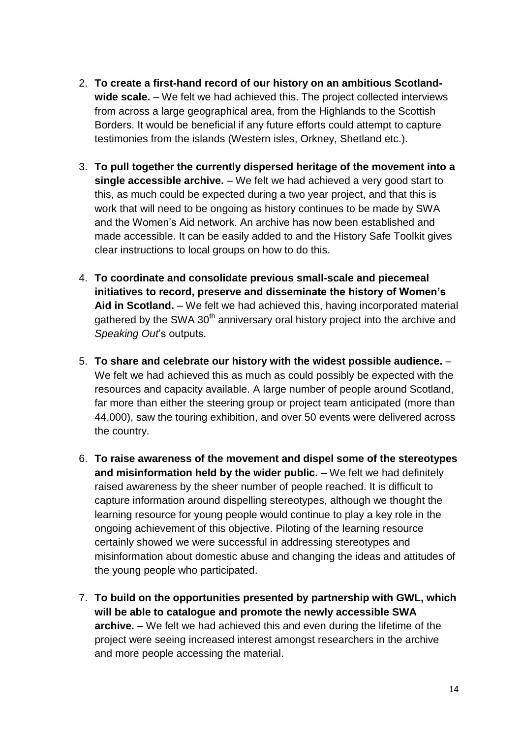- 2. **To create a first-hand record of our history on an ambitious Scotlandwide scale.** – We felt we had achieved this. The project collected interviews from across a large geographical area, from the Highlands to the Scottish Borders. It would be beneficial if any future efforts could attempt to capture testimonies from the islands (Western isles, Orkney, Shetland etc.).
- 3. **To pull together the currently dispersed heritage of the movement into a single accessible archive.** – We felt we had achieved a very good start to this, as much could be expected during a two year project, and that this is work that will need to be ongoing as history continues to be made by SWA and the Women's Aid network. An archive has now been established and made accessible. It can be easily added to and the History Safe Toolkit gives clear instructions to local groups on how to do this.
- 4. **To coordinate and consolidate previous small-scale and piecemeal initiatives to record, preserve and disseminate the history of Women's Aid in Scotland.** – We felt we had achieved this, having incorporated material gathered by the SWA  $30<sup>th</sup>$  anniversary oral history project into the archive and *Speaking Out*'s outputs.
- 5. **To share and celebrate our history with the widest possible audience.** We felt we had achieved this as much as could possibly be expected with the resources and capacity available. A large number of people around Scotland, far more than either the steering group or project team anticipated (more than 44,000), saw the touring exhibition, and over 50 events were delivered across the country.
- 6. **To raise awareness of the movement and dispel some of the stereotypes and misinformation held by the wider public.** – We felt we had definitely raised awareness by the sheer number of people reached. It is difficult to capture information around dispelling stereotypes, although we thought the learning resource for young people would continue to play a key role in the ongoing achievement of this objective. Piloting of the learning resource certainly showed we were successful in addressing stereotypes and misinformation about domestic abuse and changing the ideas and attitudes of the young people who participated.
- 7. **To build on the opportunities presented by partnership with GWL, which will be able to catalogue and promote the newly accessible SWA archive.** – We felt we had achieved this and even during the lifetime of the project were seeing increased interest amongst researchers in the archive and more people accessing the material.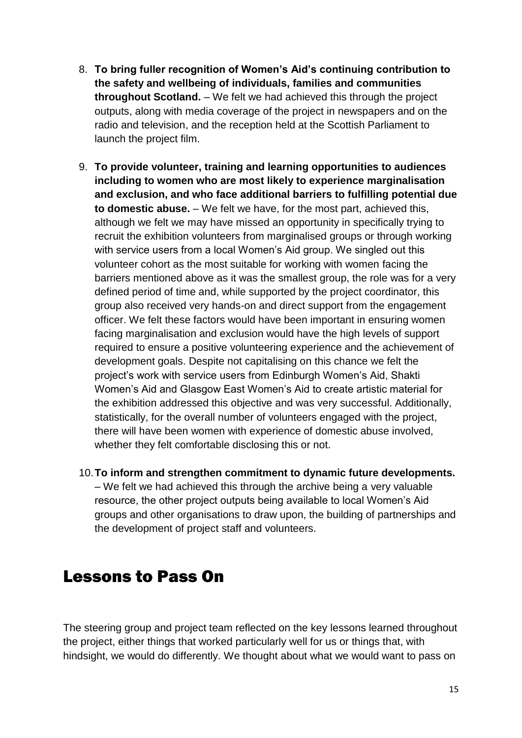- 8. **To bring fuller recognition of Women's Aid's continuing contribution to the safety and wellbeing of individuals, families and communities throughout Scotland.** – We felt we had achieved this through the project outputs, along with media coverage of the project in newspapers and on the radio and television, and the reception held at the Scottish Parliament to launch the project film.
- 9. **To provide volunteer, training and learning opportunities to audiences including to women who are most likely to experience marginalisation and exclusion, and who face additional barriers to fulfilling potential due to domestic abuse.** – We felt we have, for the most part, achieved this, although we felt we may have missed an opportunity in specifically trying to recruit the exhibition volunteers from marginalised groups or through working with service users from a local Women's Aid group. We singled out this volunteer cohort as the most suitable for working with women facing the barriers mentioned above as it was the smallest group, the role was for a very defined period of time and, while supported by the project coordinator, this group also received very hands-on and direct support from the engagement officer. We felt these factors would have been important in ensuring women facing marginalisation and exclusion would have the high levels of support required to ensure a positive volunteering experience and the achievement of development goals. Despite not capitalising on this chance we felt the project's work with service users from Edinburgh Women's Aid, Shakti Women's Aid and Glasgow East Women's Aid to create artistic material for the exhibition addressed this objective and was very successful. Additionally, statistically, for the overall number of volunteers engaged with the project, there will have been women with experience of domestic abuse involved, whether they felt comfortable disclosing this or not.
- 10.**To inform and strengthen commitment to dynamic future developments.** – We felt we had achieved this through the archive being a very valuable resource, the other project outputs being available to local Women's Aid groups and other organisations to draw upon, the building of partnerships and the development of project staff and volunteers.

### Lessons to Pass On

The steering group and project team reflected on the key lessons learned throughout the project, either things that worked particularly well for us or things that, with hindsight, we would do differently. We thought about what we would want to pass on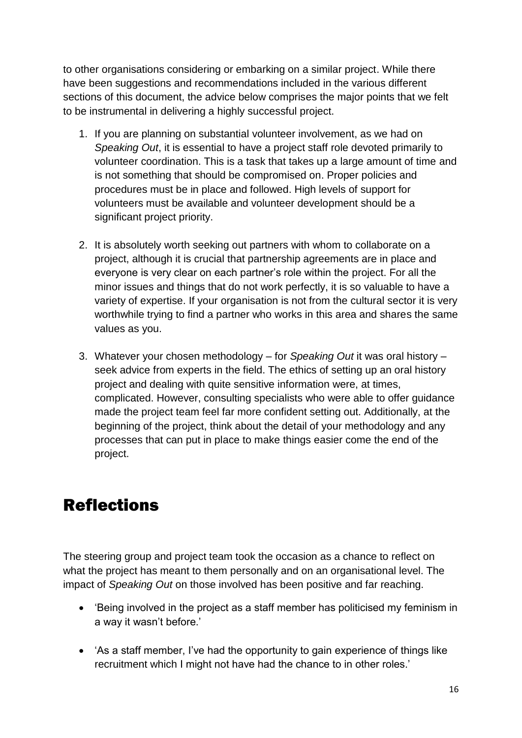to other organisations considering or embarking on a similar project. While there have been suggestions and recommendations included in the various different sections of this document, the advice below comprises the major points that we felt to be instrumental in delivering a highly successful project.

- 1. If you are planning on substantial volunteer involvement, as we had on *Speaking Out*, it is essential to have a project staff role devoted primarily to volunteer coordination. This is a task that takes up a large amount of time and is not something that should be compromised on. Proper policies and procedures must be in place and followed. High levels of support for volunteers must be available and volunteer development should be a significant project priority.
- 2. It is absolutely worth seeking out partners with whom to collaborate on a project, although it is crucial that partnership agreements are in place and everyone is very clear on each partner's role within the project. For all the minor issues and things that do not work perfectly, it is so valuable to have a variety of expertise. If your organisation is not from the cultural sector it is very worthwhile trying to find a partner who works in this area and shares the same values as you.
- 3. Whatever your chosen methodology for *Speaking Out* it was oral history seek advice from experts in the field. The ethics of setting up an oral history project and dealing with quite sensitive information were, at times, complicated. However, consulting specialists who were able to offer guidance made the project team feel far more confident setting out. Additionally, at the beginning of the project, think about the detail of your methodology and any processes that can put in place to make things easier come the end of the project.

# Reflections

The steering group and project team took the occasion as a chance to reflect on what the project has meant to them personally and on an organisational level. The impact of *Speaking Out* on those involved has been positive and far reaching.

- 'Being involved in the project as a staff member has politicised my feminism in a way it wasn't before.'
- 'As a staff member, I've had the opportunity to gain experience of things like recruitment which I might not have had the chance to in other roles.'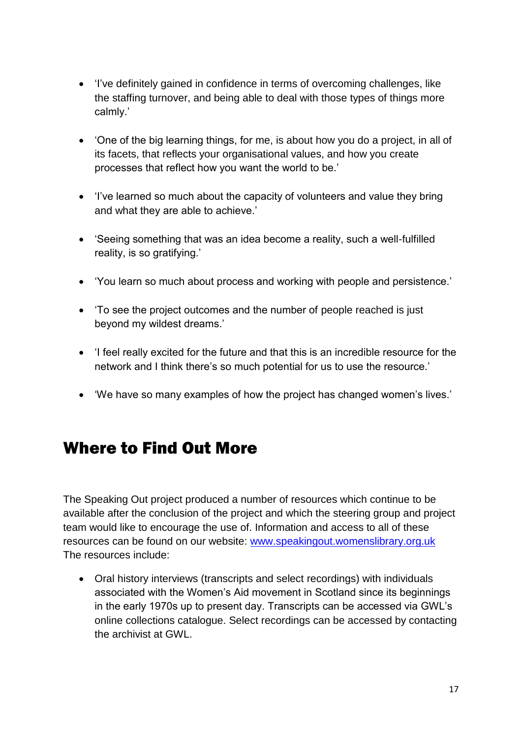- 'I've definitely gained in confidence in terms of overcoming challenges, like the staffing turnover, and being able to deal with those types of things more calmly.'
- 'One of the big learning things, for me, is about how you do a project, in all of its facets, that reflects your organisational values, and how you create processes that reflect how you want the world to be.'
- 'I've learned so much about the capacity of volunteers and value they bring and what they are able to achieve.'
- 'Seeing something that was an idea become a reality, such a well-fulfilled reality, is so gratifying.'
- 'You learn so much about process and working with people and persistence.'
- To see the project outcomes and the number of people reached is just beyond my wildest dreams.'
- 'I feel really excited for the future and that this is an incredible resource for the network and I think there's so much potential for us to use the resource.'
- 'We have so many examples of how the project has changed women's lives.'

# Where to Find Out More

The Speaking Out project produced a number of resources which continue to be available after the conclusion of the project and which the steering group and project team would like to encourage the use of. Information and access to all of these resources can be found on our website: [www.speakingout.womenslibrary.org.uk](http://www.speakingout.womenslibrary.org.uk/)  The resources include:

 Oral history interviews (transcripts and select recordings) with individuals associated with the Women's Aid movement in Scotland since its beginnings in the early 1970s up to present day. Transcripts can be accessed via GWL's online collections catalogue. Select recordings can be accessed by contacting the archivist at GWL.